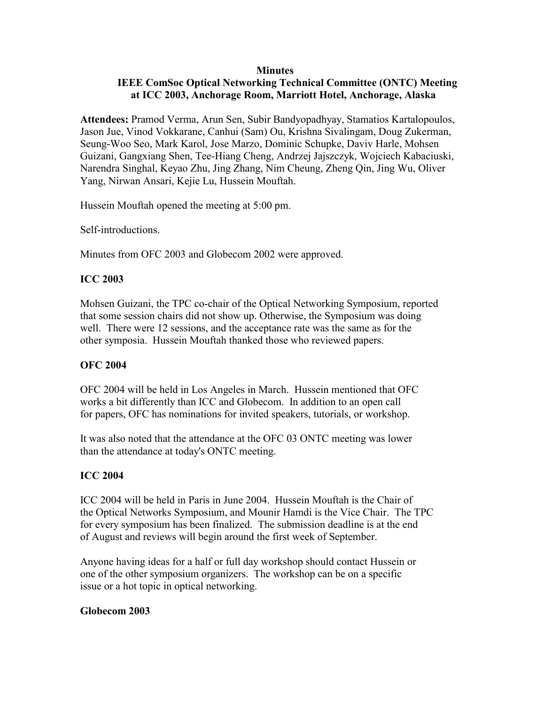#### **Minutes**

## **IEEE ComSoc Optical Networking Technical Committee (ONTC) Meeting at ICC 2003, Anchorage Room, Marriott Hotel, Anchorage, Alaska**

**Attendees:** Pramod Verma, Arun Sen, Subir Bandyopadhyay, Stamatios Kartalopoulos, Jason Jue, Vinod Vokkarane, Canhui (Sam) Ou, Krishna Sivalingam, Doug Zukerman, Seung-Woo Seo, Mark Karol, Jose Marzo, Dominic Schupke, Daviv Harle, Mohsen Guizani, Gangxiang Shen, Tee-Hiang Cheng, Andrzej Jajszczyk, Wojciech Kabaciuski, Narendra Singhal, Keyao Zhu, Jing Zhang, Nim Cheung, Zheng Qin, Jing Wu, Oliver Yang, Nirwan Ansari, Kejie Lu, Hussein Mouftah.

Hussein Mouftah opened the meeting at 5:00 pm.

Self-introductions.

Minutes from OFC 2003 and Globecom 2002 were approved.

## **ICC 2003**

Mohsen Guizani, the TPC co-chair of the Optical Networking Symposium, reported that some session chairs did not show up. Otherwise, the Symposium was doing well. There were 12 sessions, and the acceptance rate was the same as for the other symposia. Hussein Mouftah thanked those who reviewed papers.

## **OFC 2004**

OFC 2004 will be held in Los Angeles in March. Hussein mentioned that OFC works a bit differently than ICC and Globecom. In addition to an open call for papers, OFC has nominations for invited speakers, tutorials, or workshop.

It was also noted that the attendance at the OFC 03 ONTC meeting was lower than the attendance at today's ONTC meeting.

## **ICC 2004**

ICC 2004 will be held in Paris in June 2004. Hussein Mouftah is the Chair of the Optical Networks Symposium, and Mounir Hamdi is the Vice Chair. The TPC for every symposium has been finalized. The submission deadline is at the end of August and reviews will begin around the first week of September.

Anyone having ideas for a half or full day workshop should contact Hussein or one of the other symposium organizers. The workshop can be on a specific issue or a hot topic in optical networking.

#### **Globecom 2003**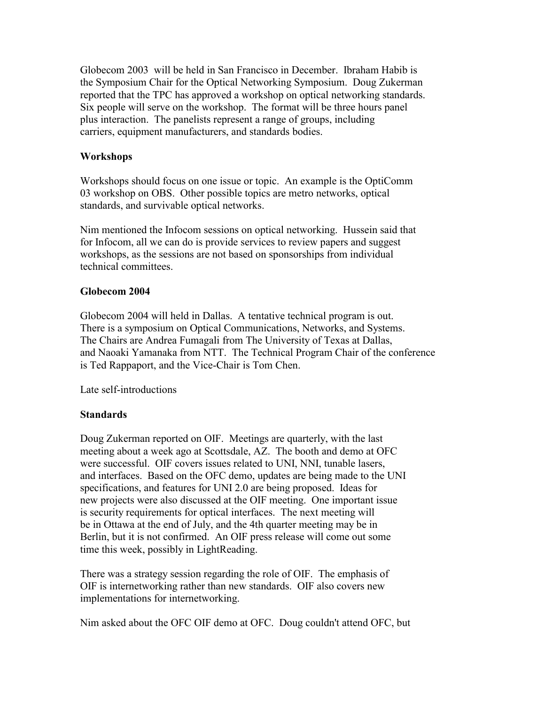Globecom 2003 will be held in San Francisco in December. Ibraham Habib is the Symposium Chair for the Optical Networking Symposium. Doug Zukerman reported that the TPC has approved a workshop on optical networking standards. Six people will serve on the workshop. The format will be three hours panel plus interaction. The panelists represent a range of groups, including carriers, equipment manufacturers, and standards bodies.

### **Workshops**

Workshops should focus on one issue or topic. An example is the OptiComm 03 workshop on OBS. Other possible topics are metro networks, optical standards, and survivable optical networks.

Nim mentioned the Infocom sessions on optical networking. Hussein said that for Infocom, all we can do is provide services to review papers and suggest workshops, as the sessions are not based on sponsorships from individual technical committees.

### **Globecom 2004**

Globecom 2004 will held in Dallas. A tentative technical program is out. There is a symposium on Optical Communications, Networks, and Systems. The Chairs are Andrea Fumagali from The University of Texas at Dallas, and Naoaki Yamanaka from NTT. The Technical Program Chair of the conference is Ted Rappaport, and the Vice-Chair is Tom Chen.

Late self-introductions

## **Standards**

Doug Zukerman reported on OIF. Meetings are quarterly, with the last meeting about a week ago at Scottsdale, AZ. The booth and demo at OFC were successful. OIF covers issues related to UNI, NNI, tunable lasers, and interfaces. Based on the OFC demo, updates are being made to the UNI specifications, and features for UNI 2.0 are being proposed. Ideas for new projects were also discussed at the OIF meeting. One important issue is security requirements for optical interfaces. The next meeting will be in Ottawa at the end of July, and the 4th quarter meeting may be in Berlin, but it is not confirmed. An OIF press release will come out some time this week, possibly in LightReading.

There was a strategy session regarding the role of OIF. The emphasis of OIF is internetworking rather than new standards. OIF also covers new implementations for internetworking.

Nim asked about the OFC OIF demo at OFC. Doug couldn't attend OFC, but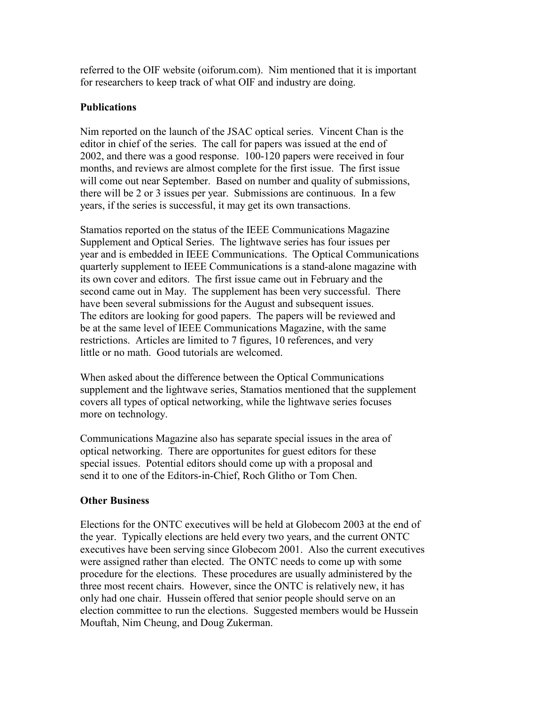referred to the OIF website (oiforum.com). Nim mentioned that it is important for researchers to keep track of what OIF and industry are doing.

## **Publications**

Nim reported on the launch of the JSAC optical series. Vincent Chan is the editor in chief of the series. The call for papers was issued at the end of 2002, and there was a good response. 100-120 papers were received in four months, and reviews are almost complete for the first issue. The first issue will come out near September. Based on number and quality of submissions, there will be 2 or 3 issues per year. Submissions are continuous. In a few years, if the series is successful, it may get its own transactions.

Stamatios reported on the status of the IEEE Communications Magazine Supplement and Optical Series. The lightwave series has four issues per year and is embedded in IEEE Communications. The Optical Communications quarterly supplement to IEEE Communications is a stand-alone magazine with its own cover and editors. The first issue came out in February and the second came out in May. The supplement has been very successful. There have been several submissions for the August and subsequent issues. The editors are looking for good papers. The papers will be reviewed and be at the same level of IEEE Communications Magazine, with the same restrictions. Articles are limited to 7 figures, 10 references, and very little or no math. Good tutorials are welcomed.

When asked about the difference between the Optical Communications supplement and the lightwave series, Stamatios mentioned that the supplement covers all types of optical networking, while the lightwave series focuses more on technology.

Communications Magazine also has separate special issues in the area of optical networking. There are opportunites for guest editors for these special issues. Potential editors should come up with a proposal and send it to one of the Editors-in-Chief, Roch Glitho or Tom Chen.

# **Other Business**

Elections for the ONTC executives will be held at Globecom 2003 at the end of the year. Typically elections are held every two years, and the current ONTC executives have been serving since Globecom 2001. Also the current executives were assigned rather than elected. The ONTC needs to come up with some procedure for the elections. These procedures are usually administered by the three most recent chairs. However, since the ONTC is relatively new, it has only had one chair. Hussein offered that senior people should serve on an election committee to run the elections. Suggested members would be Hussein Mouftah, Nim Cheung, and Doug Zukerman.